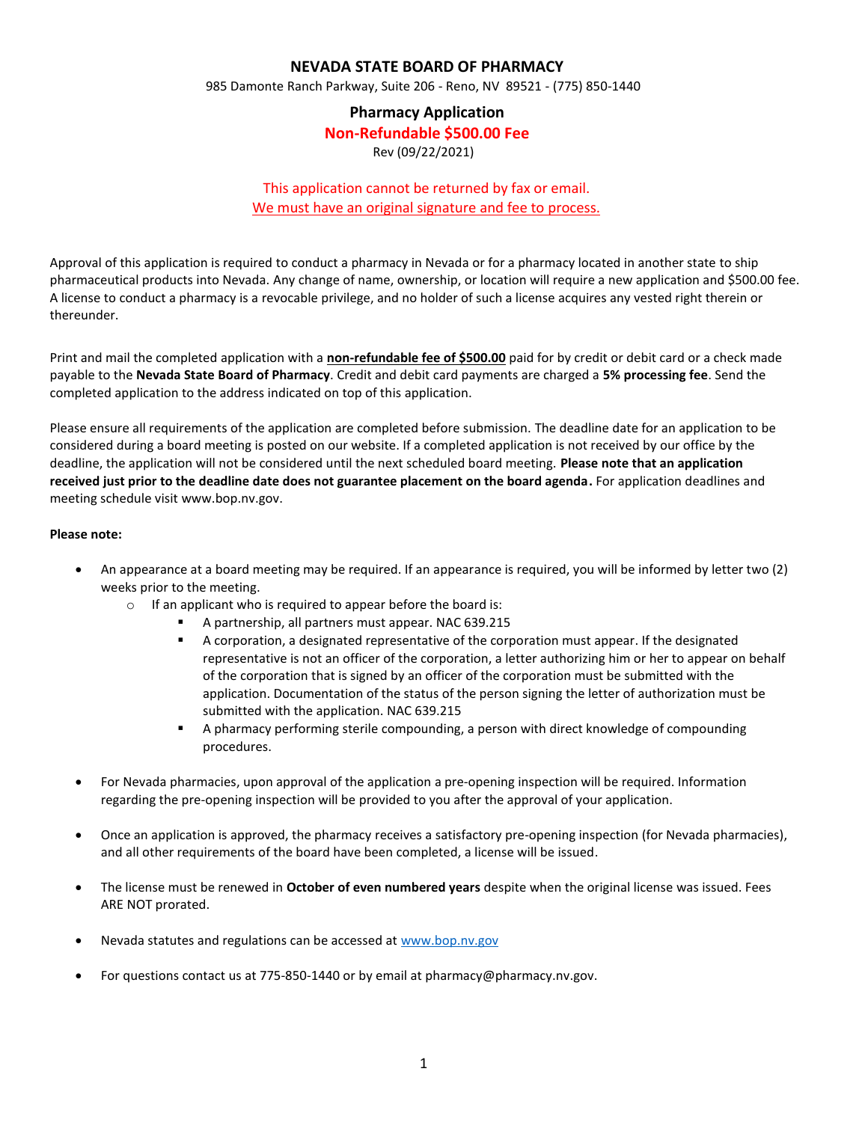## **NEVADA STATE BOARD OF PHARMACY**

985 Damonte Ranch Parkway, Suite 206 - Reno, NV 89521 - (775) 850-1440

### **Pharmacy Application**

#### **Non-Refundable \$500.00 Fee**

Rev (09/22/2021)

## This application cannot be returned by fax or email. We must have an original signature and fee to process.

Approval of this application is required to conduct a pharmacy in Nevada or for a pharmacy located in another state to ship pharmaceutical products into Nevada. Any change of name, ownership, or location will require a new application and \$500.00 fee. A license to conduct a pharmacy is a revocable privilege, and no holder of such a license acquires any vested right therein or thereunder.

Print and mail the completed application with a **non-refundable fee of \$500.00** paid for by credit or debit card or a check made payable to the **Nevada State Board of Pharmacy**. Credit and debit card payments are charged a **5% processing fee**. Send the completed application to the address indicated on top of this application.

Please ensure all requirements of the application are completed before submission. The deadline date for an application to be considered during a board meeting is posted on our website. If a completed application is not received by our office by the deadline, the application will not be considered until the next scheduled board meeting. **Please note that an application received just prior to the deadline date does not guarantee placement on the board agenda.** For application deadlines and meeting schedule visit www.bop.nv.gov.

#### **Please note:**

- An appearance at a board meeting may be required. If an appearance is required, you will be informed by letter two (2) weeks prior to the meeting.
	- $\circ$  If an applicant who is required to appear before the board is:
		- A partnership, all partners must appear. NAC 639.215
			- A corporation, a designated representative of the corporation must appear. If the designated representative is not an officer of the corporation, a letter authorizing him or her to appear on behalf of the corporation that is signed by an officer of the corporation must be submitted with the application. Documentation of the status of the person signing the letter of authorization must be submitted with the application. NAC 639.215
			- A pharmacy performing sterile compounding, a person with direct knowledge of compounding procedures.
- For Nevada pharmacies, upon approval of the application a pre-opening inspection will be required. Information regarding the pre-opening inspection will be provided to you after the approval of your application.
- Once an application is approved, the pharmacy receives a satisfactory pre-opening inspection (for Nevada pharmacies), and all other requirements of the board have been completed, a license will be issued.
- The license must be renewed in **October of even numbered years** despite when the original license was issued. Fees ARE NOT prorated.
- Nevada statutes and regulations can be accessed a[t www.bop.nv.gov](http://www.bop.nv.gov/)
- For questions contact us at 775-850-1440 or by email at pharmacy@pharmacy.nv.gov.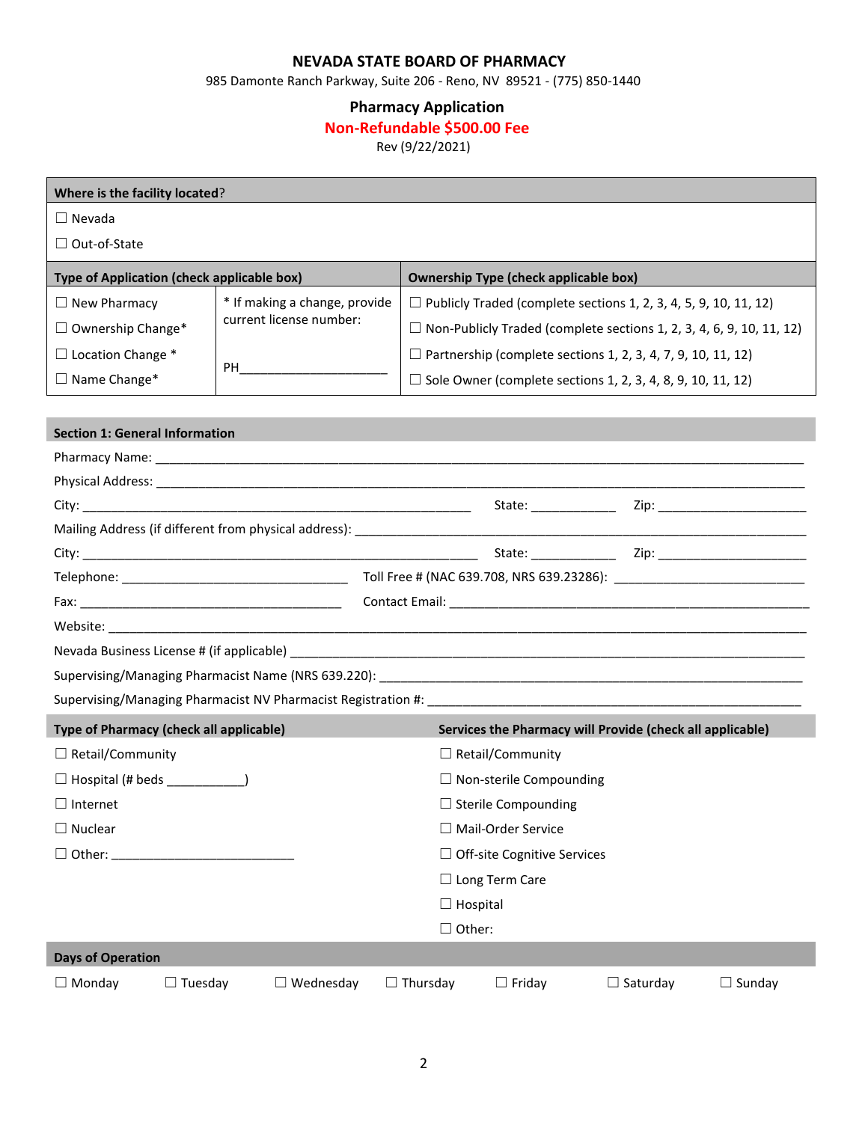## **NEVADA STATE BOARD OF PHARMACY**

985 Damonte Ranch Parkway, Suite 206 - Reno, NV 89521 - (775) 850-1440

# **Pharmacy Application**

## **Non-Refundable \$500.00 Fee**

Rev (9/22/2021)

| Where is the facility located?             |                               |                                                                                              |  |  |  |  |
|--------------------------------------------|-------------------------------|----------------------------------------------------------------------------------------------|--|--|--|--|
| $\Box$ Nevada                              |                               |                                                                                              |  |  |  |  |
| $\Box$ Out-of-State                        |                               |                                                                                              |  |  |  |  |
| Type of Application (check applicable box) |                               | <b>Ownership Type (check applicable box)</b>                                                 |  |  |  |  |
| $\Box$ New Pharmacy                        | * If making a change, provide | $\Box$ Publicly Traded (complete sections 1, 2, 3, 4, 5, 9, 10, 11, 12)                      |  |  |  |  |
| $\Box$ Ownership Change*                   | current license number:       | $\Box$ Non-Publicly Traded (complete sections 1, 2, 3, 4, 6, 9, 10, 11, 12)                  |  |  |  |  |
| $\Box$ Location Change *                   |                               | $\Box$ Partnership (complete sections 1, 2, 3, 4, 7, 9, 10, 11, 12)                          |  |  |  |  |
| $\Box$ Name Change*                        |                               | $\Box$<br>Sole Owner (complete sections 1, 2, 3, 4, 8, 9, 10, 11, 12)                        |  |  |  |  |
|                                            |                               |                                                                                              |  |  |  |  |
| <b>Section 1: General Information</b>      |                               |                                                                                              |  |  |  |  |
|                                            |                               |                                                                                              |  |  |  |  |
|                                            |                               |                                                                                              |  |  |  |  |
|                                            |                               | State: Zip: Zip:                                                                             |  |  |  |  |
|                                            |                               |                                                                                              |  |  |  |  |
|                                            |                               |                                                                                              |  |  |  |  |
|                                            |                               |                                                                                              |  |  |  |  |
|                                            |                               |                                                                                              |  |  |  |  |
|                                            |                               | Website: www.communication.com/website: www.communication.com/website: www.communication.com |  |  |  |  |
|                                            |                               |                                                                                              |  |  |  |  |
|                                            |                               |                                                                                              |  |  |  |  |
|                                            |                               |                                                                                              |  |  |  |  |
| Type of Pharmacy (check all applicable)    |                               | Services the Pharmacy will Provide (check all applicable)                                    |  |  |  |  |
| $\Box$ Retail/Community                    |                               | $\Box$ Retail/Community                                                                      |  |  |  |  |
|                                            |                               | $\Box$ Non-sterile Compounding                                                               |  |  |  |  |
| $\Box$ Internet                            |                               | $\Box$ Sterile Compounding                                                                   |  |  |  |  |
| $\Box$ Nuclear                             |                               | Mail-Order Service                                                                           |  |  |  |  |
| $\Box$ Other:                              |                               | $\Box$ Off-site Cognitive Services                                                           |  |  |  |  |
|                                            |                               | $\Box$ Long Term Care                                                                        |  |  |  |  |
| $\Box$ Hospital                            |                               |                                                                                              |  |  |  |  |
|                                            |                               | $\Box$ Other:                                                                                |  |  |  |  |
| <b>Days of Operation</b>                   |                               |                                                                                              |  |  |  |  |
| $\Box$ Tuesday<br>$\Box$ Monday            | Wednesday                     | $\Box$ Thursday<br>$\Box$ Friday<br>$\Box$ Saturday<br>$\Box$ Sunday                         |  |  |  |  |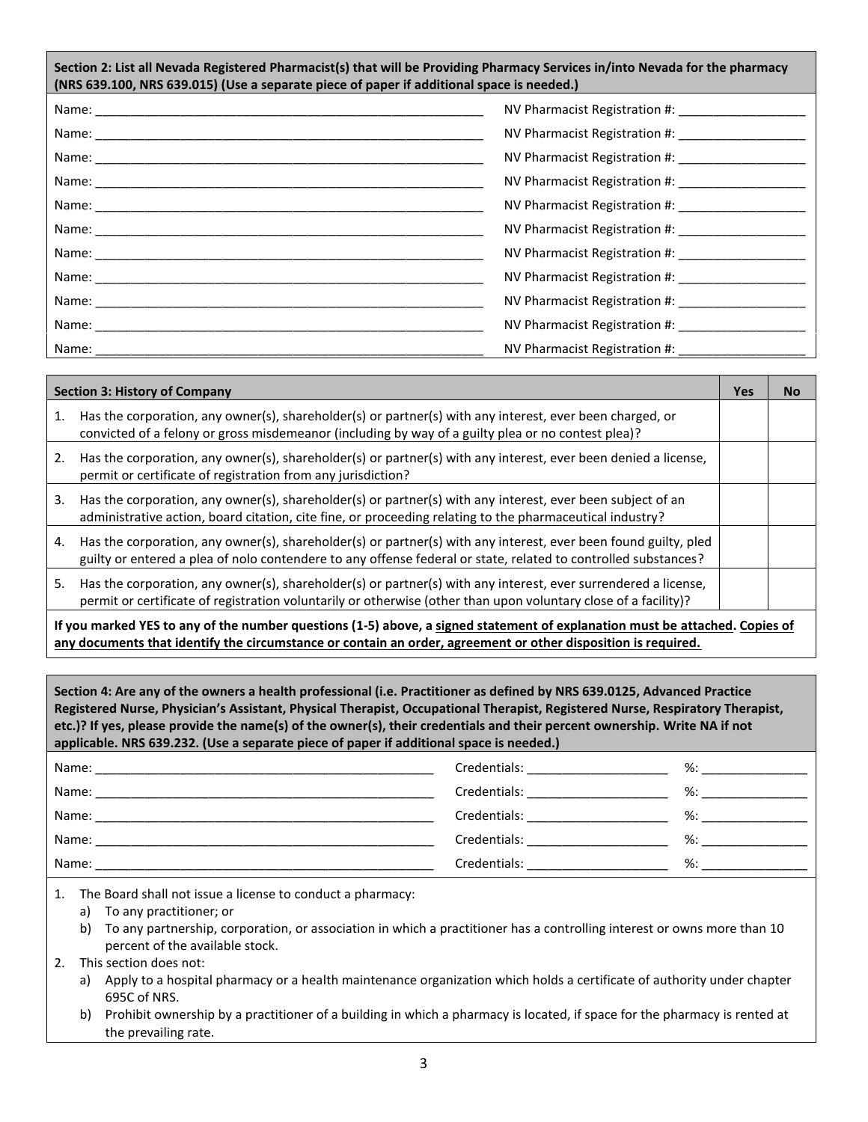**Section 2: List all Nevada Registered Pharmacist(s) that will be Providing Pharmacy Services in/into Nevada for the pharmacy (NRS 639.100, NRS 639.015) (Use a separate piece of paper if additional space is needed.)**

| NV Pharmacist Registration #: _______________________  |
|--------------------------------------------------------|
| NV Pharmacist Registration #: ______________________   |
| NV Pharmacist Registration #: ___________________      |
| NV Pharmacist Registration #: ________________________ |
| NV Pharmacist Registration #: ________________________ |
| NV Pharmacist Registration #: ________________________ |
| NV Pharmacist Registration #: ____________________     |
| NV Pharmacist Registration #: ________________________ |
| NV Pharmacist Registration #: ____________________     |
| NV Pharmacist Registration #: ____________________     |
|                                                        |

| <b>Section 3: History of Company</b>                                                                                                                                                                                                         |                                                                                                                                                                                                                                   |  |  |  |  |
|----------------------------------------------------------------------------------------------------------------------------------------------------------------------------------------------------------------------------------------------|-----------------------------------------------------------------------------------------------------------------------------------------------------------------------------------------------------------------------------------|--|--|--|--|
| 1.                                                                                                                                                                                                                                           | Has the corporation, any owner(s), shareholder(s) or partner(s) with any interest, ever been charged, or<br>convicted of a felony or gross misdemeanor (including by way of a guilty plea or no contest plea)?                    |  |  |  |  |
| 2.                                                                                                                                                                                                                                           | Has the corporation, any owner(s), shareholder(s) or partner(s) with any interest, ever been denied a license,<br>permit or certificate of registration from any jurisdiction?                                                    |  |  |  |  |
| 3.                                                                                                                                                                                                                                           | Has the corporation, any owner(s), shareholder(s) or partner(s) with any interest, ever been subject of an<br>administrative action, board citation, cite fine, or proceeding relating to the pharmaceutical industry?            |  |  |  |  |
| 4.                                                                                                                                                                                                                                           | Has the corporation, any owner(s), shareholder(s) or partner(s) with any interest, ever been found guilty, pled<br>guilty or entered a plea of nolo contendere to any offense federal or state, related to controlled substances? |  |  |  |  |
| 5.                                                                                                                                                                                                                                           | Has the corporation, any owner(s), shareholder(s) or partner(s) with any interest, ever surrendered a license,<br>permit or certificate of registration voluntarily or otherwise (other than upon voluntary close of a facility)? |  |  |  |  |
| If you marked YES to any of the number questions (1-5) above, a signed statement of explanation must be attached. Copies of<br>any documents that identify the circumstance or contain an order, agreement or other disposition is required. |                                                                                                                                                                                                                                   |  |  |  |  |

**Section 4: Are any of the owners a health professional (i.e. Practitioner as defined by NRS 639.0125, Advanced Practice Registered Nurse, Physician's Assistant, Physical Therapist, Occupational Therapist, Registered Nurse, Respiratory Therapist, etc.)? If yes, please provide the name(s) of the owner(s), their credentials and their percent ownership. Write NA if not applicable. NRS 639.232. (Use a separate piece of paper if additional space is needed.)**

| Name: | Credentials: | %      |
|-------|--------------|--------|
| Name: | Credentials: | $\%$ : |
| Name: | Credentials: | %      |
| Name: | Credentials: | $\%$ : |
| Name: | Credentials: | $\%$ : |

1. The Board shall not issue a license to conduct a pharmacy:

a) To any practitioner; or

b) To any partnership, corporation, or association in which a practitioner has a controlling interest or owns more than 10 percent of the available stock.

2. This section does not:

a) Apply to a hospital pharmacy or a health maintenance organization which holds a certificate of authority under chapter 695C of NRS.

b) Prohibit ownership by a practitioner of a building in which a pharmacy is located, if space for the pharmacy is rented at the prevailing rate.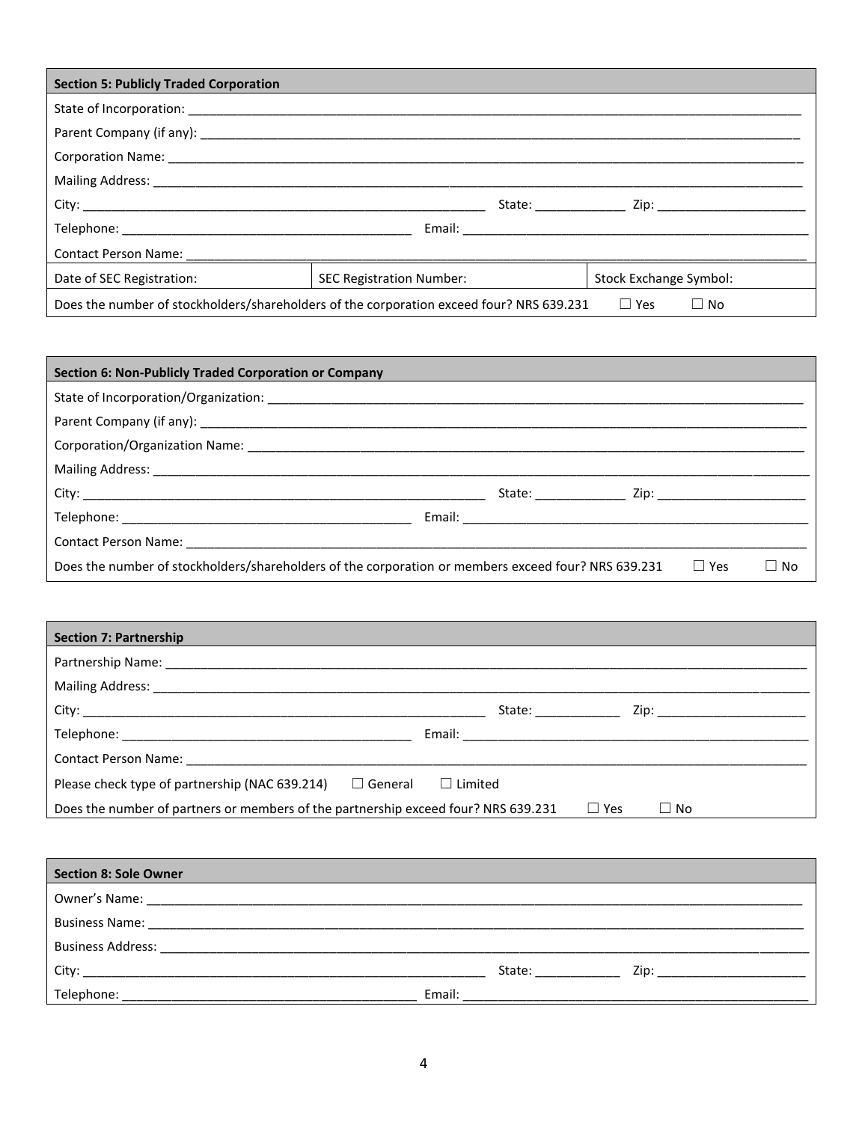| <b>Section 5: Publicly Traded Corporation</b>                                                                       |                          |                        |  |  |  |  |  |
|---------------------------------------------------------------------------------------------------------------------|--------------------------|------------------------|--|--|--|--|--|
|                                                                                                                     |                          |                        |  |  |  |  |  |
|                                                                                                                     |                          |                        |  |  |  |  |  |
|                                                                                                                     |                          |                        |  |  |  |  |  |
|                                                                                                                     |                          |                        |  |  |  |  |  |
|                                                                                                                     |                          |                        |  |  |  |  |  |
|                                                                                                                     |                          |                        |  |  |  |  |  |
|                                                                                                                     |                          |                        |  |  |  |  |  |
| Date of SEC Registration:                                                                                           | SEC Registration Number: | Stock Exchange Symbol: |  |  |  |  |  |
| Does the number of stockholders/shareholders of the corporation exceed four? NRS 639.231<br>$\Box$ Yes<br>$\Box$ No |                          |                        |  |  |  |  |  |

| <b>Section 6: Non-Publicly Traded Corporation or Company</b>                                        |  |            |      |
|-----------------------------------------------------------------------------------------------------|--|------------|------|
|                                                                                                     |  |            |      |
|                                                                                                     |  |            |      |
|                                                                                                     |  |            |      |
|                                                                                                     |  |            |      |
|                                                                                                     |  |            |      |
|                                                                                                     |  |            |      |
|                                                                                                     |  |            |      |
| Does the number of stockholders/shareholders of the corporation or members exceed four? NRS 639.231 |  | $\Box$ Yes | ∐ No |

| <b>Section 7: Partnership</b>                                                      |                       |
|------------------------------------------------------------------------------------|-----------------------|
|                                                                                    |                       |
|                                                                                    |                       |
|                                                                                    | State: ______________ |
|                                                                                    |                       |
|                                                                                    |                       |
| Please check type of partnership (NAC 639.214)<br>$\Box$ General                   | $\Box$ Limited        |
| Does the number of partners or members of the partnership exceed four? NRS 639.231 | $\Box$ Yes<br>∣No     |

| Section 8: Sole Owner                                                  |                                                                                                                                                                                                                                                                                                                                                                                                                                                                  |
|------------------------------------------------------------------------|------------------------------------------------------------------------------------------------------------------------------------------------------------------------------------------------------------------------------------------------------------------------------------------------------------------------------------------------------------------------------------------------------------------------------------------------------------------|
|                                                                        |                                                                                                                                                                                                                                                                                                                                                                                                                                                                  |
|                                                                        |                                                                                                                                                                                                                                                                                                                                                                                                                                                                  |
| <b>Business Address:</b><br><u> 1980 - Jan Samuel Samuel (b. 1980)</u> |                                                                                                                                                                                                                                                                                                                                                                                                                                                                  |
| City:<br><u> 1980 - John Stone, Amerikaansk politiker (</u> † 1920)    | State: the state of the state of the state of the state of the state of the state of the state of the state of the state of the state of the state of the state of the state of the state of the state of the state of the sta<br>Zip: the contract of the contract of the contract of the contract of the contract of the contract of the contract of the contract of the contract of the contract of the contract of the contract of the contract of the contr |
| Telephone:                                                             | Email:                                                                                                                                                                                                                                                                                                                                                                                                                                                           |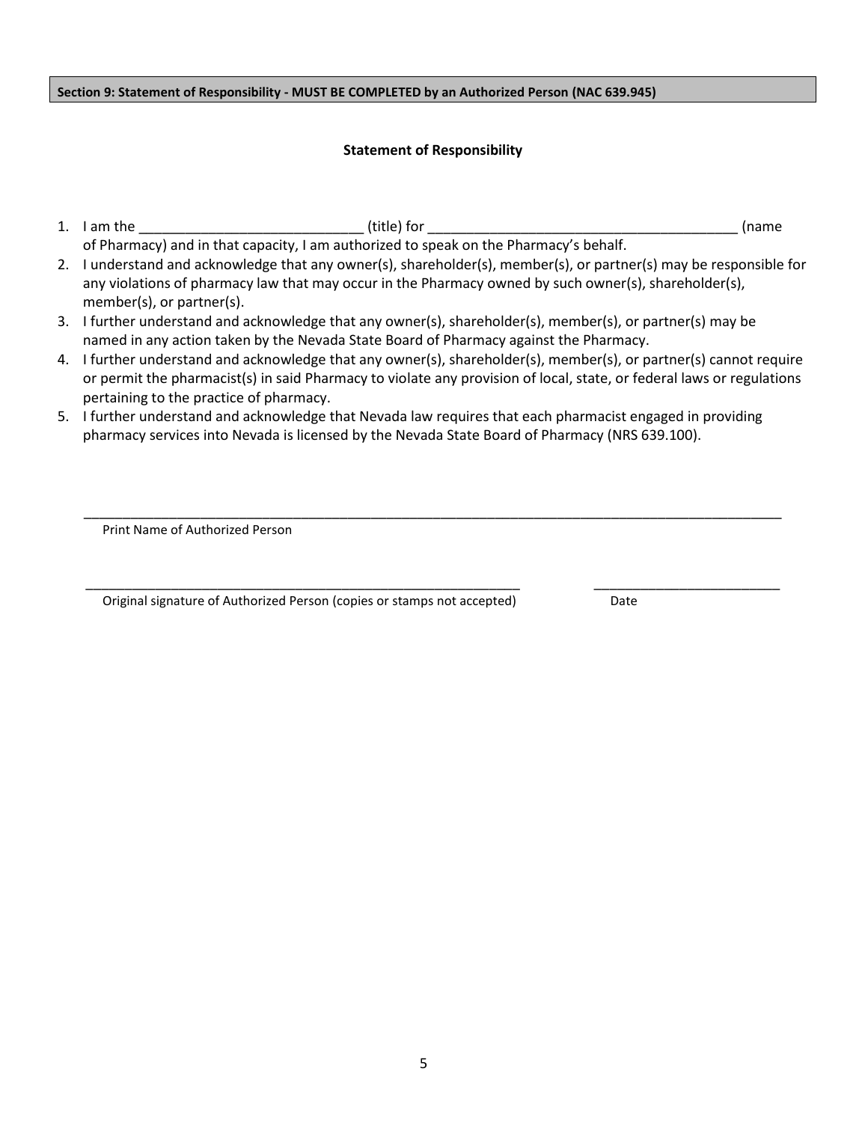**Section 9: Statement of Responsibility - MUST BE COMPLETED by an Authorized Person (NAC 639.945)**

## **Statement of Responsibility**

- 1. I am the \_\_\_\_\_\_\_\_\_\_\_\_\_\_\_\_\_\_\_\_\_\_\_\_\_\_\_\_\_ (title) for \_\_\_\_\_\_\_\_\_\_\_\_\_\_\_\_\_\_\_\_\_\_\_\_\_\_\_\_\_\_\_\_\_\_\_\_\_\_\_\_ (name of Pharmacy) and in that capacity, I am authorized to speak on the Pharmacy's behalf.
- 2. I understand and acknowledge that any owner(s), shareholder(s), member(s), or partner(s) may be responsible for any violations of pharmacy law that may occur in the Pharmacy owned by such owner(s), shareholder(s), member(s), or partner(s).
- 3. I further understand and acknowledge that any owner(s), shareholder(s), member(s), or partner(s) may be named in any action taken by the Nevada State Board of Pharmacy against the Pharmacy.
- 4. I further understand and acknowledge that any owner(s), shareholder(s), member(s), or partner(s) cannot require or permit the pharmacist(s) in said Pharmacy to violate any provision of local, state, or federal laws or regulations pertaining to the practice of pharmacy.

\_\_\_\_\_\_\_\_\_\_\_\_\_\_\_\_\_\_\_\_\_\_\_\_\_\_\_\_\_\_\_\_\_\_\_\_\_\_\_\_\_\_\_\_\_\_\_\_\_\_\_\_\_\_\_\_\_\_\_\_\_\_\_\_\_\_\_\_\_\_\_\_\_\_\_\_\_\_\_\_\_\_\_\_\_\_\_\_\_\_

\_\_\_\_\_\_\_\_\_\_\_\_\_\_\_\_\_\_\_\_\_\_\_\_\_\_\_\_\_\_\_\_\_\_\_\_\_\_\_\_\_\_\_\_\_\_\_\_\_\_\_\_\_\_\_\_ \_\_\_\_\_\_\_\_\_\_\_\_\_\_\_\_\_\_\_\_\_\_\_\_

5. I further understand and acknowledge that Nevada law requires that each pharmacist engaged in providing pharmacy services into Nevada is licensed by the Nevada State Board of Pharmacy (NRS 639.100).

Print Name of Authorized Person

Original signature of Authorized Person (copies or stamps not accepted) Date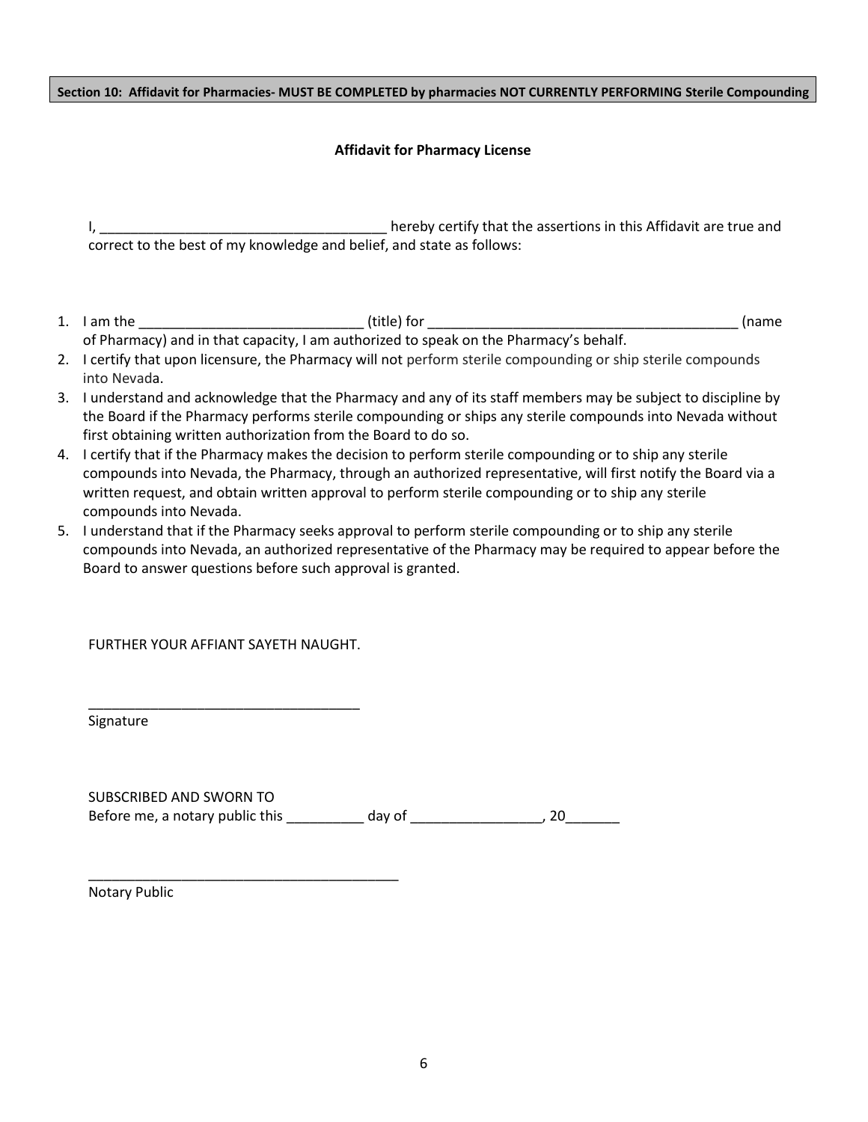**Section 10: Affidavit for Pharmacies- MUST BE COMPLETED by pharmacies NOT CURRENTLY PERFORMING Sterile Compounding**

## **Affidavit for Pharmacy License**

I, \_\_\_\_\_\_\_\_\_\_\_\_\_\_\_\_\_\_\_\_\_\_\_\_\_\_\_\_\_\_\_\_\_\_\_\_\_ hereby certify that the assertions in this Affidavit are true and correct to the best of my knowledge and belief, and state as follows:

- 1. I am the \_\_\_\_\_\_\_\_\_\_\_\_\_\_\_\_\_\_\_\_\_\_\_\_\_\_\_\_\_ (title) for \_\_\_\_\_\_\_\_\_\_\_\_\_\_\_\_\_\_\_\_\_\_\_\_\_\_\_\_\_\_\_\_\_\_\_\_\_\_\_\_ (name of Pharmacy) and in that capacity, I am authorized to speak on the Pharmacy's behalf.
- 2. I certify that upon licensure, the Pharmacy will not perform sterile compounding or ship sterile compounds into Nevada.
- 3. I understand and acknowledge that the Pharmacy and any of its staff members may be subject to discipline by the Board if the Pharmacy performs sterile compounding or ships any sterile compounds into Nevada without first obtaining written authorization from the Board to do so.
- 4. I certify that if the Pharmacy makes the decision to perform sterile compounding or to ship any sterile compounds into Nevada, the Pharmacy, through an authorized representative, will first notify the Board via a written request, and obtain written approval to perform sterile compounding or to ship any sterile compounds into Nevada.
- 5. I understand that if the Pharmacy seeks approval to perform sterile compounding or to ship any sterile compounds into Nevada, an authorized representative of the Pharmacy may be required to appear before the Board to answer questions before such approval is granted.

FURTHER YOUR AFFIANT SAYETH NAUGHT.

\_\_\_\_\_\_\_\_\_\_\_\_\_\_\_\_\_\_\_\_\_\_\_\_\_\_\_\_\_\_\_\_\_\_\_

\_\_\_\_\_\_\_\_\_\_\_\_\_\_\_\_\_\_\_\_\_\_\_\_\_\_\_\_\_\_\_\_\_\_\_\_\_\_\_\_

Signature

SUBSCRIBED AND SWORN TO Before me, a notary public this \_\_\_\_\_\_\_\_\_\_ day of \_\_\_\_\_\_\_\_\_\_\_\_\_\_\_\_\_\_, 20\_\_\_\_\_\_\_\_

Notary Public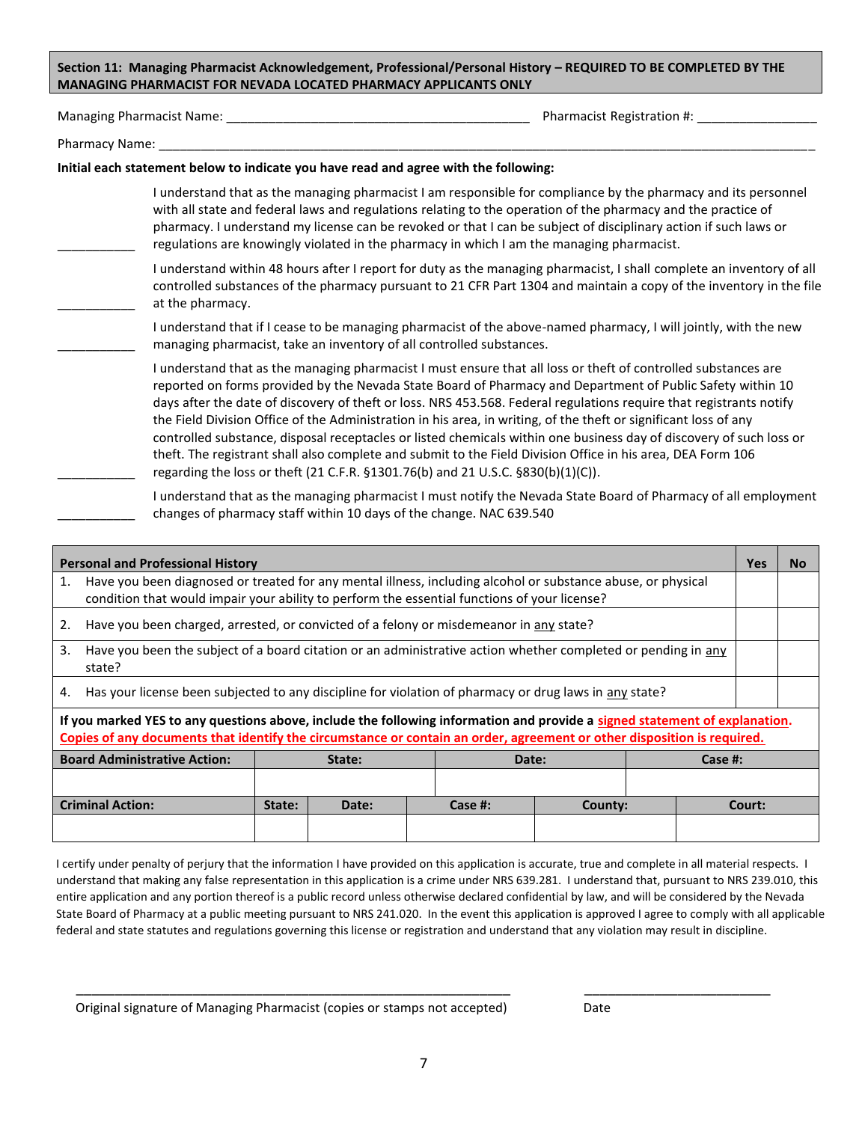#### **Section 11: Managing Pharmacist Acknowledgement, Professional/Personal History – REQUIRED TO BE COMPLETED BY THE MANAGING PHARMACIST FOR NEVADA LOCATED PHARMACY APPLICANTS ONLY**

Managing Pharmacist Name: \_\_\_\_\_\_\_\_\_\_\_\_\_\_\_\_\_\_\_\_\_\_\_\_\_\_\_\_\_\_\_\_\_\_\_\_\_\_\_\_\_\_\_ Pharmacist Registration #: \_\_\_\_\_\_\_\_\_\_\_\_\_\_\_\_\_

Pharmacy Name:

\_\_\_\_\_\_\_\_\_\_\_

\_\_\_\_\_\_\_\_\_\_\_

#### **Initial each statement below to indicate you have read and agree with the following:**

\_\_\_\_\_\_\_\_\_\_\_ I understand that as the managing pharmacist I am responsible for compliance by the pharmacy and its personnel with all state and federal laws and regulations relating to the operation of the pharmacy and the practice of pharmacy. I understand my license can be revoked or that I can be subject of disciplinary action if such laws or regulations are knowingly violated in the pharmacy in which I am the managing pharmacist.

\_\_\_\_\_\_\_\_\_\_\_ I understand within 48 hours after I report for duty as the managing pharmacist, I shall complete an inventory of all controlled substances of the pharmacy pursuant to 21 CFR Part 1304 and maintain a copy of the inventory in the file at the pharmacy.

\_\_\_\_\_\_\_\_\_\_\_ I understand that if I cease to be managing pharmacist of the above-named pharmacy, I will jointly, with the new managing pharmacist, take an inventory of all controlled substances.

> I understand that as the managing pharmacist I must ensure that all loss or theft of controlled substances are reported on forms provided by the Nevada State Board of Pharmacy and Department of Public Safety within 10 days after the date of discovery of theft or loss. NRS 453.568. Federal regulations require that registrants notify the Field Division Office of the Administration in his area, in writing, of the theft or significant loss of any controlled substance, disposal receptacles or listed chemicals within one business day of discovery of such loss or theft. The registrant shall also complete and submit to the Field Division Office in his area, DEA Form 106 regarding the loss or theft (21 C.F.R. §1301.76(b) and 21 U.S.C. §830(b)(1)(C)).

I understand that as the managing pharmacist I must notify the Nevada State Board of Pharmacy of all employment changes of pharmacy staff within 10 days of the change. NAC 639.540

| <b>Personal and Professional History</b>                                                                                                                                                                                                              |                                                                                                                         |  |  |        |  |            | <b>Yes</b> | <b>No</b> |  |  |
|-------------------------------------------------------------------------------------------------------------------------------------------------------------------------------------------------------------------------------------------------------|-------------------------------------------------------------------------------------------------------------------------|--|--|--------|--|------------|------------|-----------|--|--|
| 1.                                                                                                                                                                                                                                                    | Have you been diagnosed or treated for any mental illness, including alcohol or substance abuse, or physical            |  |  |        |  |            |            |           |  |  |
|                                                                                                                                                                                                                                                       | condition that would impair your ability to perform the essential functions of your license?                            |  |  |        |  |            |            |           |  |  |
| 2.                                                                                                                                                                                                                                                    | Have you been charged, arrested, or convicted of a felony or misdemeanor in any state?                                  |  |  |        |  |            |            |           |  |  |
| 3.                                                                                                                                                                                                                                                    | Have you been the subject of a board citation or an administrative action whether completed or pending in any<br>state? |  |  |        |  |            |            |           |  |  |
| Has your license been subjected to any discipline for violation of pharmacy or drug laws in any state?<br>4.                                                                                                                                          |                                                                                                                         |  |  |        |  |            |            |           |  |  |
| If you marked YES to any questions above, include the following information and provide a signed statement of explanation.<br>Copies of any documents that identify the circumstance or contain an order, agreement or other disposition is required. |                                                                                                                         |  |  |        |  |            |            |           |  |  |
| <b>Board Administrative Action:</b><br>State:<br>Date:                                                                                                                                                                                                |                                                                                                                         |  |  |        |  | Case $#$ : |            |           |  |  |
|                                                                                                                                                                                                                                                       |                                                                                                                         |  |  |        |  |            |            |           |  |  |
|                                                                                                                                                                                                                                                       | <b>Criminal Action:</b><br>State:<br>Case $#$ :<br>Date:<br>County:                                                     |  |  | Court: |  |            |            |           |  |  |
|                                                                                                                                                                                                                                                       |                                                                                                                         |  |  |        |  |            |            |           |  |  |

I certify under penalty of perjury that the information I have provided on this application is accurate, true and complete in all material respects. I understand that making any false representation in this application is a crime under NRS 639.281. I understand that, pursuant to NRS 239.010, this entire application and any portion thereof is a public record unless otherwise declared confidential by law, and will be considered by the Nevada State Board of Pharmacy at a public meeting pursuant to NRS 241.020. In the event this application is approved I agree to comply with all applicable federal and state statutes and regulations governing this license or registration and understand that any violation may result in discipline.

\_\_\_\_\_\_\_\_\_\_\_\_\_\_\_\_\_\_\_\_\_\_\_\_\_\_\_\_\_\_\_\_\_\_\_\_\_\_\_\_\_\_\_\_\_\_\_\_\_\_\_\_\_\_\_\_ \_\_\_\_\_\_\_\_\_\_\_\_\_\_\_\_\_\_\_\_\_\_\_\_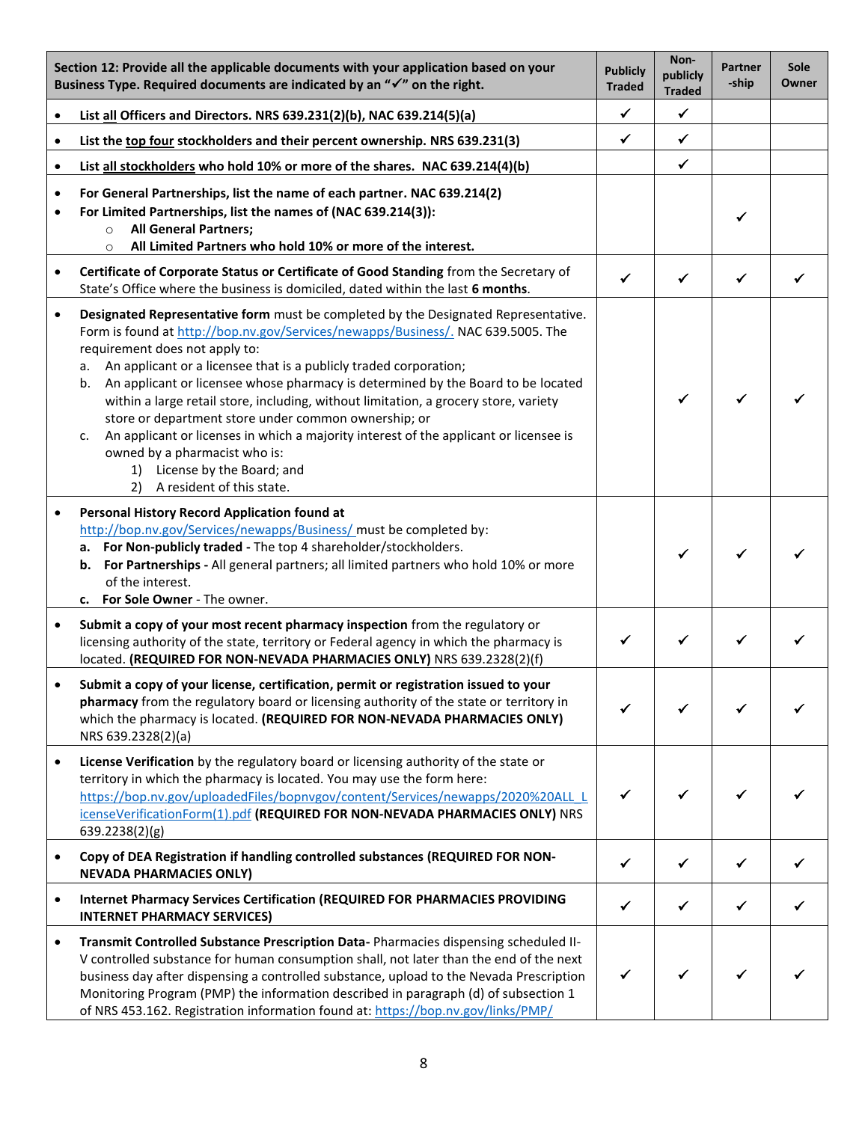| Section 12: Provide all the applicable documents with your application based on your<br>Business Type. Required documents are indicated by an " $\checkmark$ " on the right. |                                                                                                                                                                                                                                                                                                                                                                                                                                                                                                                                                                                                                                                                                                                                     |   | Non-<br>publicly<br><b>Traded</b> | Partner<br>-ship | <b>Sole</b><br>Owner |
|------------------------------------------------------------------------------------------------------------------------------------------------------------------------------|-------------------------------------------------------------------------------------------------------------------------------------------------------------------------------------------------------------------------------------------------------------------------------------------------------------------------------------------------------------------------------------------------------------------------------------------------------------------------------------------------------------------------------------------------------------------------------------------------------------------------------------------------------------------------------------------------------------------------------------|---|-----------------------------------|------------------|----------------------|
|                                                                                                                                                                              | List all Officers and Directors. NRS 639.231(2)(b), NAC 639.214(5)(a)                                                                                                                                                                                                                                                                                                                                                                                                                                                                                                                                                                                                                                                               | ✓ | $\checkmark$                      |                  |                      |
| $\bullet$                                                                                                                                                                    | List the top four stockholders and their percent ownership. NRS 639.231(3)                                                                                                                                                                                                                                                                                                                                                                                                                                                                                                                                                                                                                                                          | ✓ | $\checkmark$                      |                  |                      |
| $\bullet$                                                                                                                                                                    | List all stockholders who hold 10% or more of the shares. NAC 639.214(4)(b)                                                                                                                                                                                                                                                                                                                                                                                                                                                                                                                                                                                                                                                         |   | $\checkmark$                      |                  |                      |
| $\bullet$<br>٠                                                                                                                                                               | For General Partnerships, list the name of each partner. NAC 639.214(2)<br>For Limited Partnerships, list the names of (NAC 639.214(3)):<br><b>All General Partners;</b><br>$\circ$<br>All Limited Partners who hold 10% or more of the interest.<br>$\circ$                                                                                                                                                                                                                                                                                                                                                                                                                                                                        |   |                                   | ✔                |                      |
| $\bullet$                                                                                                                                                                    | Certificate of Corporate Status or Certificate of Good Standing from the Secretary of<br>State's Office where the business is domiciled, dated within the last 6 months.                                                                                                                                                                                                                                                                                                                                                                                                                                                                                                                                                            | ✓ |                                   | ✓                |                      |
| $\bullet$                                                                                                                                                                    | Designated Representative form must be completed by the Designated Representative.<br>Form is found at http://bop.nv.gov/Services/newapps/Business/. NAC 639.5005. The<br>requirement does not apply to:<br>An applicant or a licensee that is a publicly traded corporation;<br>а.<br>An applicant or licensee whose pharmacy is determined by the Board to be located<br>b.<br>within a large retail store, including, without limitation, a grocery store, variety<br>store or department store under common ownership; or<br>An applicant or licenses in which a majority interest of the applicant or licensee is<br>c.<br>owned by a pharmacist who is:<br>License by the Board; and<br>1)<br>A resident of this state.<br>2) |   |                                   |                  |                      |
| $\bullet$                                                                                                                                                                    | Personal History Record Application found at<br>http://bop.nv.gov/Services/newapps/Business/ must be completed by:<br>a. For Non-publicly traded - The top 4 shareholder/stockholders.<br>b. For Partnerships - All general partners; all limited partners who hold 10% or more<br>of the interest.<br>c. For Sole Owner - The owner.                                                                                                                                                                                                                                                                                                                                                                                               |   |                                   |                  |                      |
| $\bullet$                                                                                                                                                                    | Submit a copy of your most recent pharmacy inspection from the regulatory or<br>licensing authority of the state, territory or Federal agency in which the pharmacy is<br>located. (REQUIRED FOR NON-NEVADA PHARMACIES ONLY) NRS 639.2328(2)(f)                                                                                                                                                                                                                                                                                                                                                                                                                                                                                     |   |                                   |                  |                      |
|                                                                                                                                                                              | Submit a copy of your license, certification, permit or registration issued to your<br>pharmacy from the regulatory board or licensing authority of the state or territory in<br>which the pharmacy is located. (REQUIRED FOR NON-NEVADA PHARMACIES ONLY)<br>NRS 639.2328(2)(a)                                                                                                                                                                                                                                                                                                                                                                                                                                                     |   |                                   |                  |                      |
| $\bullet$                                                                                                                                                                    | License Verification by the regulatory board or licensing authority of the state or<br>territory in which the pharmacy is located. You may use the form here:<br>https://bop.nv.gov/uploadedFiles/bopnvgov/content/Services/newapps/2020%20ALLL<br>icenseVerificationForm(1).pdf (REQUIRED FOR NON-NEVADA PHARMACIES ONLY) NRS<br>639.2238(2)(g)                                                                                                                                                                                                                                                                                                                                                                                    |   |                                   |                  |                      |
| ٠                                                                                                                                                                            | Copy of DEA Registration if handling controlled substances (REQUIRED FOR NON-<br><b>NEVADA PHARMACIES ONLY)</b>                                                                                                                                                                                                                                                                                                                                                                                                                                                                                                                                                                                                                     | ✓ | ✓                                 | ✓                |                      |
| $\bullet$                                                                                                                                                                    | <b>Internet Pharmacy Services Certification (REQUIRED FOR PHARMACIES PROVIDING</b><br><b>INTERNET PHARMACY SERVICES)</b>                                                                                                                                                                                                                                                                                                                                                                                                                                                                                                                                                                                                            | ✓ | ✔                                 | ✔                |                      |
| $\bullet$                                                                                                                                                                    | Transmit Controlled Substance Prescription Data-Pharmacies dispensing scheduled II-<br>V controlled substance for human consumption shall, not later than the end of the next<br>business day after dispensing a controlled substance, upload to the Nevada Prescription<br>Monitoring Program (PMP) the information described in paragraph (d) of subsection 1<br>of NRS 453.162. Registration information found at: https://bop.nv.gov/links/PMP/                                                                                                                                                                                                                                                                                 |   |                                   |                  |                      |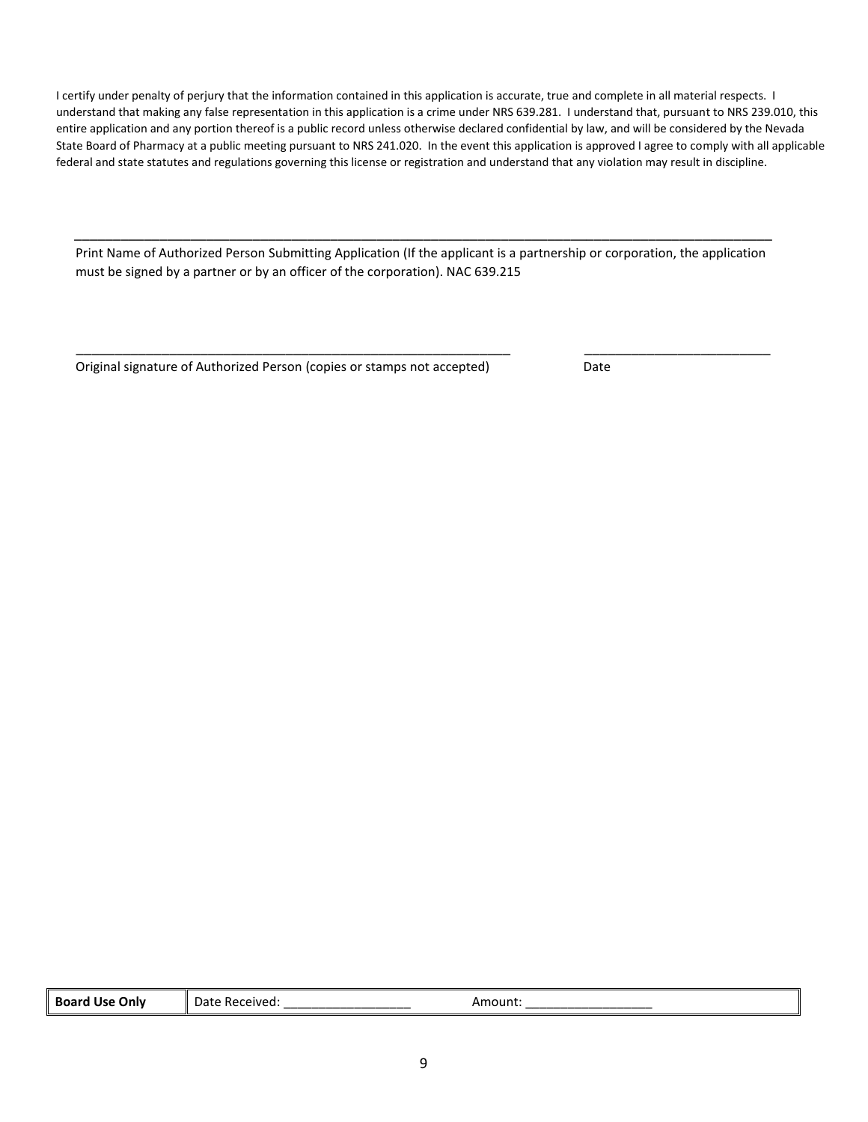I certify under penalty of perjury that the information contained in this application is accurate, true and complete in all material respects. I understand that making any false representation in this application is a crime under NRS 639.281. I understand that, pursuant to NRS 239.010, this entire application and any portion thereof is a public record unless otherwise declared confidential by law, and will be considered by the Nevada State Board of Pharmacy at a public meeting pursuant to NRS 241.020. In the event this application is approved I agree to comply with all applicable federal and state statutes and regulations governing this license or registration and understand that any violation may result in discipline.

\_\_\_\_\_\_\_\_\_\_\_\_\_\_\_\_\_\_\_\_\_\_\_\_\_\_\_\_\_\_\_\_\_\_\_\_\_\_\_\_\_\_\_\_\_\_\_\_\_\_\_\_\_\_\_\_\_\_\_\_\_\_\_\_\_\_\_\_\_\_\_\_\_\_\_\_\_\_\_\_\_\_\_\_\_\_\_\_\_\_ Print Name of Authorized Person Submitting Application (If the applicant is a partnership or corporation, the application must be signed by a partner or by an officer of the corporation). NAC 639.215

\_\_\_\_\_\_\_\_\_\_\_\_\_\_\_\_\_\_\_\_\_\_\_\_\_\_\_\_\_\_\_\_\_\_\_\_\_\_\_\_\_\_\_\_\_\_\_\_\_\_\_\_\_\_\_\_ \_\_\_\_\_\_\_\_\_\_\_\_\_\_\_\_\_\_\_\_\_\_\_\_

Original signature of Authorized Person (copies or stamps not accepted) Date

| <b>Board Use Only</b> | Date Received: " | \moun!<br>$  -$ |
|-----------------------|------------------|-----------------|
|                       |                  |                 |